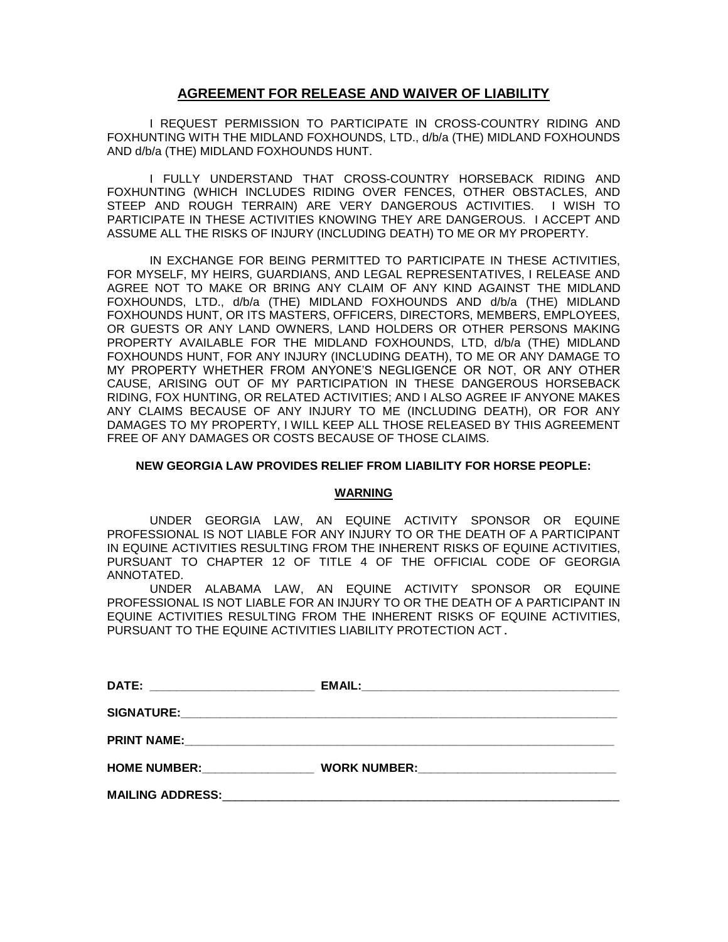# **AGREEMENT FOR RELEASE AND WAIVER OF LIABILITY**

I REQUEST PERMISSION TO PARTICIPATE IN CROSS-COUNTRY RIDING AND FOXHUNTING WITH THE MIDLAND FOXHOUNDS, LTD., d/b/a (THE) MIDLAND FOXHOUNDS AND d/b/a (THE) MIDLAND FOXHOUNDS HUNT.

I FULLY UNDERSTAND THAT CROSS-COUNTRY HORSEBACK RIDING AND FOXHUNTING (WHICH INCLUDES RIDING OVER FENCES, OTHER OBSTACLES, AND STEEP AND ROUGH TERRAIN) ARE VERY DANGEROUS ACTIVITIES. I WISH TO PARTICIPATE IN THESE ACTIVITIES KNOWING THEY ARE DANGEROUS. I ACCEPT AND ASSUME ALL THE RISKS OF INJURY (INCLUDING DEATH) TO ME OR MY PROPERTY.

IN EXCHANGE FOR BEING PERMITTED TO PARTICIPATE IN THESE ACTIVITIES, FOR MYSELF, MY HEIRS, GUARDIANS, AND LEGAL REPRESENTATIVES, I RELEASE AND AGREE NOT TO MAKE OR BRING ANY CLAIM OF ANY KIND AGAINST THE MIDLAND FOXHOUNDS, LTD., d/b/a (THE) MIDLAND FOXHOUNDS AND d/b/a (THE) MIDLAND FOXHOUNDS HUNT, OR ITS MASTERS, OFFICERS, DIRECTORS, MEMBERS, EMPLOYEES, OR GUESTS OR ANY LAND OWNERS, LAND HOLDERS OR OTHER PERSONS MAKING PROPERTY AVAILABLE FOR THE MIDLAND FOXHOUNDS, LTD, d/b/a (THE) MIDLAND FOXHOUNDS HUNT, FOR ANY INJURY (INCLUDING DEATH), TO ME OR ANY DAMAGE TO MY PROPERTY WHETHER FROM ANYONE'S NEGLIGENCE OR NOT, OR ANY OTHER CAUSE, ARISING OUT OF MY PARTICIPATION IN THESE DANGEROUS HORSEBACK RIDING, FOX HUNTING, OR RELATED ACTIVITIES; AND I ALSO AGREE IF ANYONE MAKES ANY CLAIMS BECAUSE OF ANY INJURY TO ME (INCLUDING DEATH), OR FOR ANY DAMAGES TO MY PROPERTY, I WILL KEEP ALL THOSE RELEASED BY THIS AGREEMENT FREE OF ANY DAMAGES OR COSTS BECAUSE OF THOSE CLAIMS.

## **NEW GEORGIA LAW PROVIDES RELIEF FROM LIABILITY FOR HORSE PEOPLE:**

## **WARNING**

UNDER GEORGIA LAW, AN EQUINE ACTIVITY SPONSOR OR EQUINE PROFESSIONAL IS NOT LIABLE FOR ANY INJURY TO OR THE DEATH OF A PARTICIPANT IN EQUINE ACTIVITIES RESULTING FROM THE INHERENT RISKS OF EQUINE ACTIVITIES, PURSUANT TO CHAPTER 12 OF TITLE 4 OF THE OFFICIAL CODE OF GEORGIA ANNOTATED.

UNDER ALABAMA LAW, AN EQUINE ACTIVITY SPONSOR OR EQUINE PROFESSIONAL IS NOT LIABLE FOR AN INJURY TO OR THE DEATH OF A PARTICIPANT IN EQUINE ACTIVITIES RESULTING FROM THE INHERENT RISKS OF EQUINE ACTIVITIES, PURSUANT TO THE EQUINE ACTIVITIES LIABILITY PROTECTION ACT.

| DATE: ___________________________ |  |
|-----------------------------------|--|
|                                   |  |
|                                   |  |
|                                   |  |
| <b>PRINT NAME:</b>                |  |
|                                   |  |
| <b>HOME NUMBER:</b>               |  |
|                                   |  |
| <b>MAILING ADDRESS:</b>           |  |
|                                   |  |